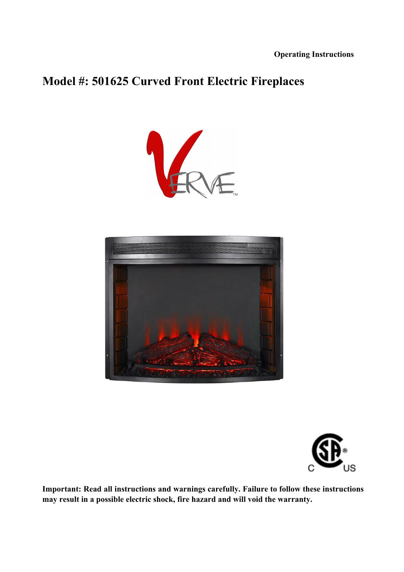# **Model #: 501625 Curved Front Electric Fireplaces**







**Important: Read all instructions and warnings carefully. Failure to follow these instructions may result in a possible electric shock, fire hazard and will void the warranty.**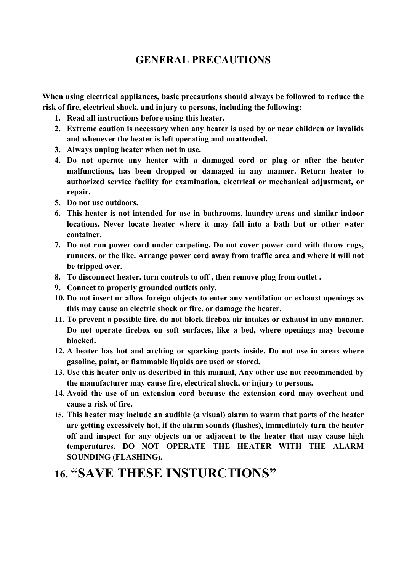# **GENERAL PRECAUTIONS**

**When using electrical appliances, basic precautions should always be followed to reduce the risk of fire, electrical shock, and injury to persons, including the following:**

- **1. Read all instructions before using this heater.**
- **2. Extreme caution is necessary when any heater is used by or near children or invalids and whenever the heater is left operating and unattended.**
- **3. Always unplug heater when not in use.**
- **4. Do not operate any heater with a damaged cord or plug or after the heater malfunctions, has been dropped or damaged in any manner. Return heater to authorized service facility for examination, electrical or mechanical adjustment, or repair.**
- **5. Do not use outdoors.**
- **6. This heater is not intended for use in bathrooms, laundry areas and similar indoor locations. Never locate heater where it may fall into a bath but or other water container.**
- **7. Do not run power cord under carpeting. Do not cover power cord with throw rugs, runners, or the like. Arrange power cord away from traffic area and where it will not be tripped over.**
- **8. To disconnect heater. turn controls to off , then remove plug from outlet .**
- **9. Connect to properly grounded outlets only.**
- **10. Do not insert or allow foreign objects to enter any ventilation or exhaust openings as this may cause an electric shock or fire, or damage the heater.**
- **11. To prevent a possible fire, do not block firebox air intakes or exhaust in any manner. Do not operate firebox on soft surfaces, like a bed, where openings may become blocked.**
- **12. A heater has hot and arching or sparking parts inside. Do not use in areas where gasoline, paint, or flammable liquids are used or stored.**
- **13. Use this heater only as described in this manual, Any other use not recommended by the manufacturer may cause fire, electrical shock, or injury to persons.**
- **14. Avoid the use of an extension cord because the extension cord may overheat and cause a risk of fire.**
- **15. This heater may include an audible (a visual) alarm to warm that parts of the heater are getting excessively hot, if the alarm sounds (flashes), immediately turn the heater off and inspect for any objects on or adjacent to the heater that may cause high temperatures. DO NOT OPERATE THE HEATER WITH THE ALARM SOUNDING (FLASHING).**

# **16. "SAVE THESE INSTURCTIONS"**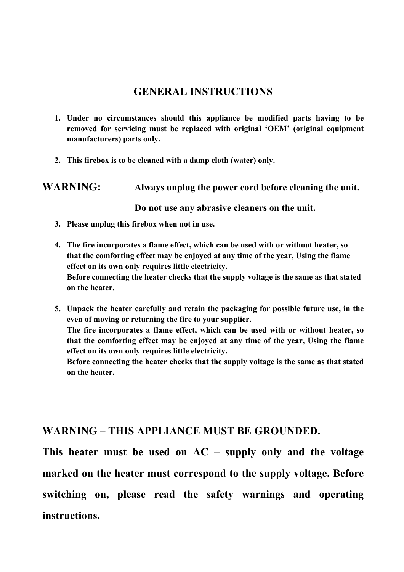# **GENERAL INSTRUCTIONS**

- **1. Under no circumstances should this appliance be modified parts having to be removed for servicing must be replaced with original 'OEM' (original equipment manufacturers) parts only.**
- **2. This firebox is to be cleaned with a damp cloth (water) only.**

### **WARNING: Always unplug the power cord before cleaning the unit.**

#### **Do not use any abrasive cleaners on the unit.**

- **3. Please unplug this firebox when not in use.**
- **4. The fire incorporates a flame effect, which can be used with or without heater, so that the comforting effect may be enjoyed at any time of the year, Using the flame effect on its own only requires little electricity. Before connecting the heater checks that the supply voltage is the same as that stated on the heater.**
- **5. Unpack the heater carefully and retain the packaging for possible future use, in the even of moving or returning the fire to your supplier. The fire incorporates a flame effect, which can be used with or without heater, so that the comforting effect may be enjoyed at any time of the year, Using the flame effect on its own only requires little electricity. Before connecting the heater checks that the supply voltage is the same as that stated on the heater.**

### **WARNING – THIS APPLIANCE MUST BE GROUNDED.**

**This heater must be used on AC – supply only and the voltage marked on the heater must correspond to the supply voltage. Before switching on, please read the safety warnings and operating instructions.**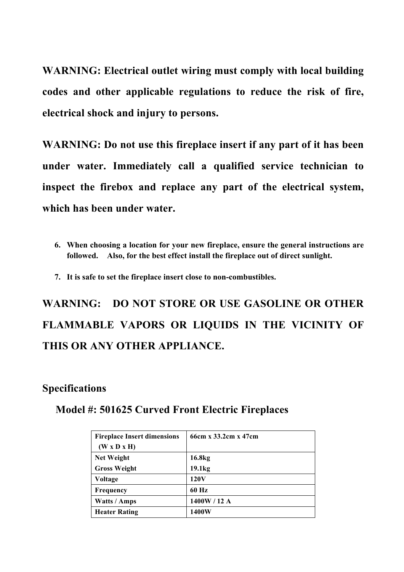**WARNING: Electrical outlet wiring must comply with local building codes and other applicable regulations to reduce the risk of fire, electrical shock and injury to persons.**

**WARNING: Do not use this fireplace insert if any part of it has been under water. Immediately call a qualified service technician to inspect the firebox and replace any part of the electrical system, which has been under water.**

**7. It is safe to set the fireplace insert close to non-combustibles.**

**WARNING: DO NOT STORE OR USE GASOLINE OR OTHER FLAMMABLE VAPORS OR LIQUIDS IN THE VICINITY OF THIS OR ANY OTHER APPLIANCE.**

### **Specifications**

### **Model #: 501625 Curved Front Electric Fireplaces**

| <b>Fireplace Insert dimensions</b><br>(W x D x H) | 66cm x 33.2cm x 47cm |
|---------------------------------------------------|----------------------|
| <b>Net Weight</b>                                 | 16.8 <sub>kg</sub>   |
| <b>Gross Weight</b>                               | 19.1 <sub>kg</sub>   |
|                                                   |                      |
| Voltage                                           | 120V                 |
| <b>Frequency</b>                                  | 60 Hz                |
| Watts / Amps                                      | 1400W / 12 A         |
| <b>Heater Rating</b>                              | 1400W                |

**<sup>6.</sup> When choosing a location for your new fireplace, ensure the general instructions are followed. Also, for the best effect install the fireplace out of direct sunlight.**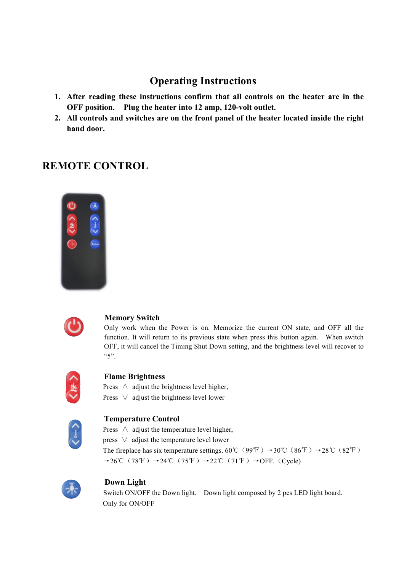# **Operating Instructions**

- **1. After reading these instructions confirm that all controls on the heater are in the OFF position. Plug the heater into 12 amp, 120-volt outlet.**
- **2. All controls and switches are on the front panel of the heater located inside the right hand door.**

# **REMOTE CONTROL**





#### **Memory Switch**

Only work when the Power is on. Memorize the current ON state, and OFF all the function. It will return to its previous state when press this button again. When switch OFF, it will cancel the Timing Shut Down setting, and the brightness level will recover to "5".



#### **Flame Brightness**

Press  $\wedge$  adjust the brightness level higher, Press ∨ adjust the brightness level lower



#### **Temperature Control**

Press ∧ adjust the temperature level higher, press ∨ adjust the temperature level lower The fireplace has six temperature settings. 60°C (99°F)  $\rightarrow$ 30°C (86°F)  $\rightarrow$ 28°C (82°F)  $\rightarrow$ 26°C (78°F) →24°C (75°F) →22°C (71°F) →OFF. (Cycle)



#### **Down Light**

Switch ON/OFF the Down light. Down light composed by 2 pcs LED light board. Only for ON/OFF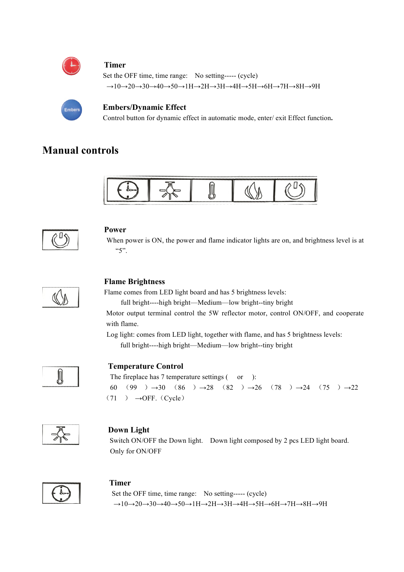

#### **Timer**

Set the OFF time, time range: No setting----- (cycle)  $\rightarrow$ 10 $\rightarrow$ 20 $\rightarrow$ 30 $\rightarrow$ 40 $\rightarrow$ 50 $\rightarrow$ 1H $\rightarrow$ 2H $\rightarrow$ 3H $\rightarrow$ 4H $\rightarrow$ 5H $\rightarrow$ 6H $\rightarrow$ 7H $\rightarrow$ 8H $\rightarrow$ 9H



#### **Embers/Dynamic Effect**

Control button for dynamic effect in automatic mode, enter/ exit Effect function**.**

# **Manual controls**





#### **Power**

When power is ON, the power and flame indicator lights are on, and brightness level is at  $``5"$ 



#### **Flame Brightness**

Flame comes from LED light board and has 5 brightness levels:

full bright----high bright—Medium—low bright--tiny bright

Motor output terminal control the 5W reflector motor, control ON/OFF, and cooperate with flame.

 Log light: comes from LED light, together with flame, and has 5 brightness levels: full bright----high bright—Medium—low bright--tiny bright



#### **Temperature Control**

The fireplace has 7 temperature settings ( or ): 60 (99 )  $\rightarrow$ 30 (86 )  $\rightarrow$ 28 (82 )  $\rightarrow$ 26 (78 )  $\rightarrow$ 24 (75 )  $\rightarrow$ 22  $(71) \rightarrow$ OFF. (Cycle)



#### **Down Light**

Switch ON/OFF the Down light. Down light composed by 2 pcs LED light board. Only for ON/OFF



#### **Timer**

Set the OFF time, time range: No setting----- (cycle)  $\rightarrow$ 10 $\rightarrow$ 20 $\rightarrow$ 30 $\rightarrow$ 40 $\rightarrow$ 50 $\rightarrow$ 1H $\rightarrow$ 2H $\rightarrow$ 3H $\rightarrow$ 4H $\rightarrow$ 5H $\rightarrow$ 6H $\rightarrow$ 7H $\rightarrow$ 8H $\rightarrow$ 9H